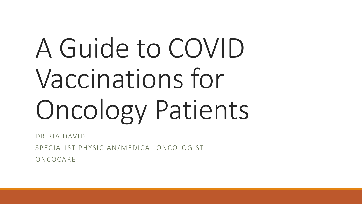# A Guide to COVID Vaccinations for Oncology Patients

DR RIA DAVID

SPECIALIST PHYSICIAN/MEDICAL ONCOLOGIST

ONCOCARE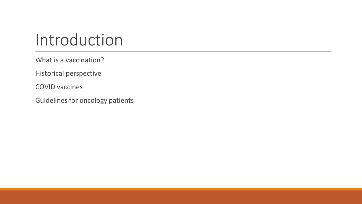### Introduction

What is a vaccination?

Historical perspective

COVID vaccines

Guidelines for oncology patients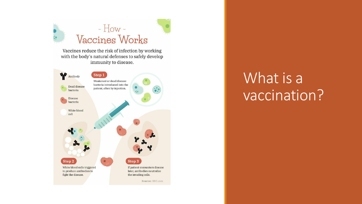

Vaccines reduce the risk of infection by working with the body's natural defenses to safely develop immunity to disease.



#### What is a vaccination?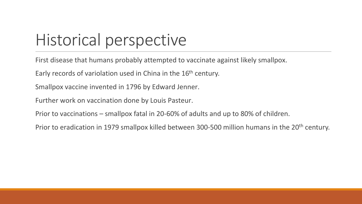# Historical perspective

First disease that humans probably attempted to vaccinate against likely smallpox.

Early records of variolation used in China in the 16<sup>th</sup> century.

Smallpox vaccine invented in 1796 by Edward Jenner.

Further work on vaccination done by Louis Pasteur.

Prior to vaccinations – smallpox fatal in 20-60% of adults and up to 80% of children.

Prior to eradication in 1979 smallpox killed between 300-500 million humans in the 20<sup>th</sup> century.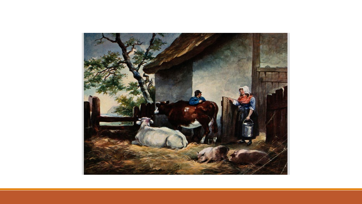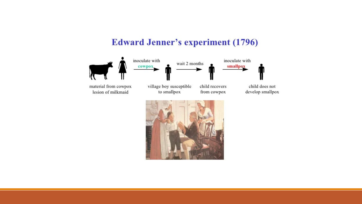#### **Edward Jenner's experiment (1796)**

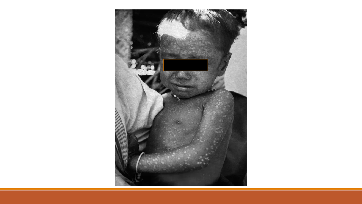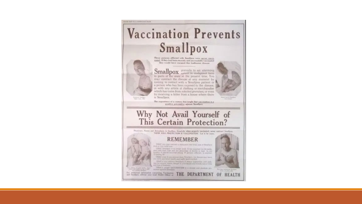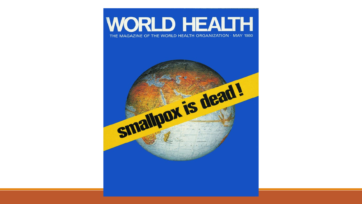#### **WORLD HEALTH** THE MAGAZINE OF THE WORLD HEALTH ORGANIZATION · MAY 1980

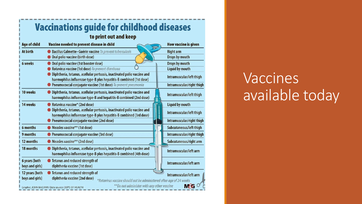| <b>Age of child</b>               | to print out and keep<br>Vaccine needed to prevent disease in child                                                                           | <b>How vaccine is given</b> |
|-----------------------------------|-----------------------------------------------------------------------------------------------------------------------------------------------|-----------------------------|
|                                   |                                                                                                                                               |                             |
| At birth                          | Bacillus Calmette-Guérin vaccine To prevent tuberculosis                                                                                      | <b>Right arm</b>            |
|                                   | Oral polio vaccine (birth dose)                                                                                                               | Drops by mouth              |
| 6 weeks                           | Oral polio vaccine (1st booster dose)                                                                                                         | Drops by mouth              |
|                                   | Rotavirus vaccine (1st dose) To prevent diarrhoea                                                                                             | <b>Liquid by mouth</b>      |
|                                   | Diphtheria, tetanus, acellular pertussis, inactivated polio vaccine and<br>haemophilus influenzae type-B plus hepatitis-B combined (1st dose) | Intramuscular/left thigh    |
|                                   | Pneumococcal conjugate vaccine (1st dose) To prevent pneumonia                                                                                | Intramuscular/right thig    |
| 10 weeks                          | Diphtheria, tetanus, acellular pertussis, inactivated polio vaccine and<br>haemophilus influenzae type-B and hepatitis-B combined (2nd dose)  | Intramuscular/left thigh    |
| 14 weeks                          | Rotavirus vaccine* (2nd dose)                                                                                                                 | <b>Liquid by mouth</b>      |
|                                   | Diphtheria, tetanus, acellular pertussis, inactivated polio vaccine and<br>haemophilus influenzae type-B plus hepatitis-B combined (3rd dose) | Intramuscular/left thigh    |
|                                   | Pneumococcal conjugate vaccine (2nd dose)                                                                                                     | Intramuscular/right thig    |
| 6 months                          | Measles vaccine** (1st dose)                                                                                                                  | Subcutaneous/left thigh     |
| 9 months                          | Pneumococcal conjugate vaccine (3rd dose)                                                                                                     | Intramuscular/right thig    |
| 12 months                         | Measles vaccine** (2nd dose)                                                                                                                  | Subcutaneous/right arm      |
| 18 months                         | Diphtheria, tetanus, acellular pertussis, inactivated polio vaccine and<br>haemophilus influenzae type-B plus hepatitis-B combined (4th dose) | Intramuscular/left arm      |
| 6 years (both<br>boys and girls)  | lacktriangleright Technical Strength of<br>diphtheria vaccine (1st dose)                                                                      | Intramuscular/left arm      |
| 12 years (both<br>boys and girls) | Tetanus and reduced strength of<br>diphtheria vaccine (2nd dose)                                                                              | Intramuscular/left arm      |

-------

#### Vaccines available today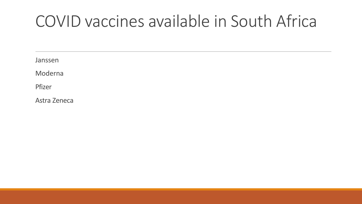#### COVID vaccines available in South Africa

Janssen

Moderna

Pfizer

Astra Zeneca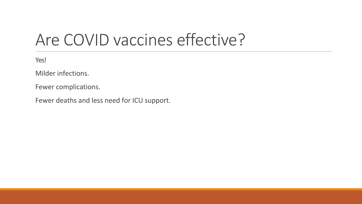## Are COVID vaccines effective?

Yes!

Milder infections.

Fewer complications.

Fewer deaths and less need for ICU support.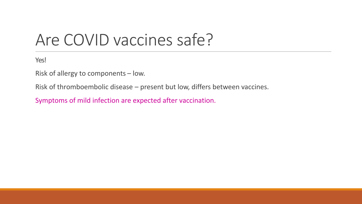## Are COVID vaccines safe?

Yes!

Risk of allergy to components – low.

Risk of thromboembolic disease – present but low, differs between vaccines.

Symptoms of mild infection are expected after vaccination.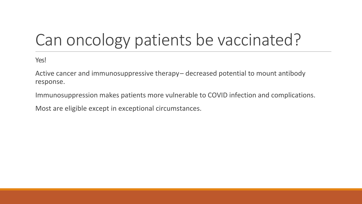# Can oncology patients be vaccinated?

Yes!

Active cancer and immunosuppressive therapy – decreased potential to mount antibody response.

Immunosuppression makes patients more vulnerable to COVID infection and complications.

Most are eligible except in exceptional circumstances.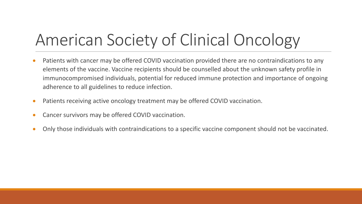# American Society of Clinical Oncology

- Patients with cancer may be offered COVID vaccination provided there are no contraindications to any elements of the vaccine. Vaccine recipients should be counselled about the unknown safety profile in immunocompromised individuals, potential for reduced immune protection and importance of ongoing adherence to all guidelines to reduce infection.
- Patients receiving active oncology treatment may be offered COVID vaccination.
- Cancer survivors may be offered COVID vaccination.
- Only those individuals with contraindications to a specific vaccine component should not be vaccinated.